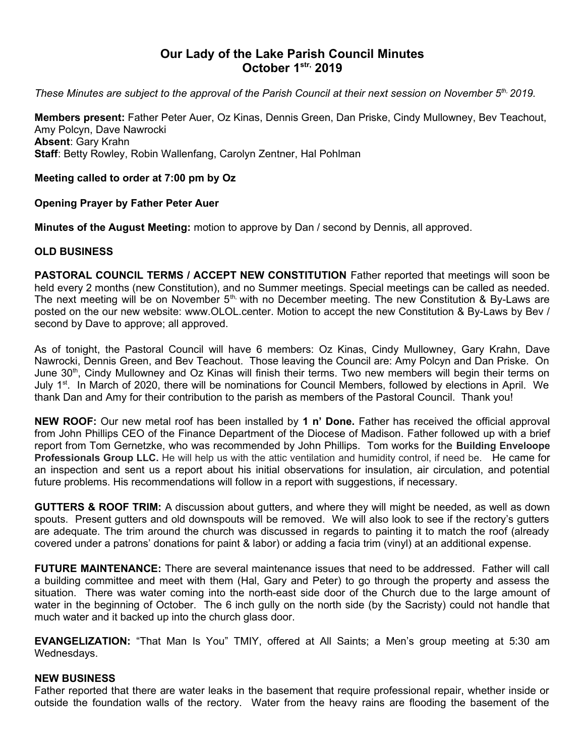# **Our Lady of the Lake Parish Council Minutes October 1str, 2019**

*These Minutes are subject to the approval of the Parish Council at their next session on November 5th, 2019.* 

**Members present:** Father Peter Auer, Oz Kinas, Dennis Green, Dan Priske, Cindy Mullowney, Bev Teachout, Amy Polcyn, Dave Nawrocki **Absent**: Gary Krahn **Staff**: Betty Rowley, Robin Wallenfang, Carolyn Zentner, Hal Pohlman

# **Meeting called to order at 7:00 pm by Oz**

## **Opening Prayer by Father Peter Auer**

**Minutes of the August Meeting:** motion to approve by Dan / second by Dennis, all approved.

#### **OLD BUSINESS**

**PASTORAL COUNCIL TERMS / ACCEPT NEW CONSTITUTION** Father reported that meetings will soon be held every 2 months (new Constitution), and no Summer meetings. Special meetings can be called as needed. The next meeting will be on November  $5<sup>th</sup>$  with no December meeting. The new Constitution & By-Laws are posted on the our new website: www.OLOL.center. Motion to accept the new Constitution & By-Laws by Bev / second by Dave to approve; all approved.

As of tonight, the Pastoral Council will have 6 members: Oz Kinas, Cindy Mullowney, Gary Krahn, Dave Nawrocki, Dennis Green, and Bev Teachout. Those leaving the Council are: Amy Polcyn and Dan Priske. On June 30<sup>th</sup>, Cindy Mullowney and Oz Kinas will finish their terms. Two new members will begin their terms on July 1<sup>st</sup>. In March of 2020, there will be nominations for Council Members, followed by elections in April. We thank Dan and Amy for their contribution to the parish as members of the Pastoral Council. Thank you!

**NEW ROOF:** Our new metal roof has been installed by **1 n' Done.** Father has received the official approval from John Phillips CEO of the Finance Department of the Diocese of Madison. Father followed up with a brief report from Tom Gernetzke, who was recommended by John Phillips. Tom works for the **Building Enveloope Professionals Group LLC.** He will help us with the attic ventilation and humidity control, if need be. He came for an inspection and sent us a report about his initial observations for insulation, air circulation, and potential future problems. His recommendations will follow in a report with suggestions, if necessary.

**GUTTERS & ROOF TRIM:** A discussion about gutters, and where they will might be needed, as well as down spouts. Present gutters and old downspouts will be removed. We will also look to see if the rectory's gutters are adequate. The trim around the church was discussed in regards to painting it to match the roof (already covered under a patrons' donations for paint & labor) or adding a facia trim (vinyl) at an additional expense.

**FUTURE MAINTENANCE:** There are several maintenance issues that need to be addressed. Father will call a building committee and meet with them (Hal, Gary and Peter) to go through the property and assess the situation. There was water coming into the north-east side door of the Church due to the large amount of water in the beginning of October. The 6 inch gully on the north side (by the Sacristy) could not handle that much water and it backed up into the church glass door.

**EVANGELIZATION:** "That Man Is You" TMIY, offered at All Saints; a Men's group meeting at 5:30 am Wednesdays.

#### **NEW BUSINESS**

Father reported that there are water leaks in the basement that require professional repair, whether inside or outside the foundation walls of the rectory. Water from the heavy rains are flooding the basement of the